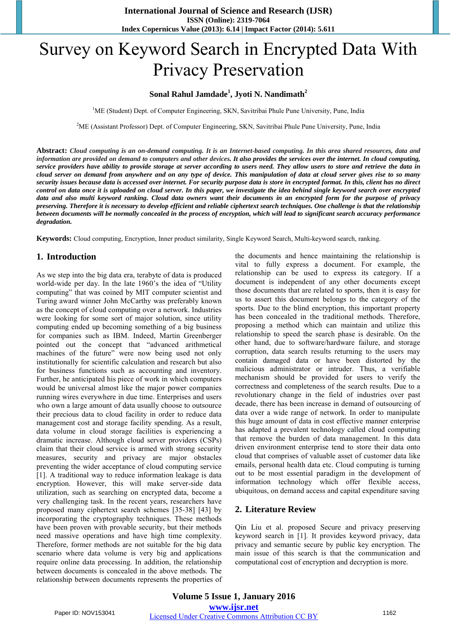# Survey on Keyword Search in Encrypted Data With Privacy Preservation

## **Sonal Rahul Jamdade<sup>1</sup> , Jyoti N. Nandimath<sup>2</sup>**

<sup>1</sup>ME (Student) Dept. of Computer Engineering, SKN, Savitribai Phule Pune University, Pune, India

<sup>2</sup>ME (Assistant Professor) Dept. of Computer Engineering, SKN, Savitribai Phule Pune University, Pune, India

Abstract: Cloud computing is an on-demand computing. It is an Internet-based computing. In this area shared resources, data and information are provided on demand to computers and other devices. It also provides the services over the internet. In cloud computing, service providers have ability to provide storage at server according to users need. They allow users to store and retrieve the data in cloud server on demand from anywhere and on any type of device. This manipulation of data at cloud server gives rise to so many security issues because data is accessed over internet. For security purpose data is store in encrypted format. In this, client has no direct control on data once it is uploaded on cloud server. In this paper, we investigate the idea behind single keyword search over encrypted data and also multi keyword ranking. Cloud data owners want their documents in an encrypted form for the purpose of privacy preserving. Therefore it is necessary to develop efficient and reliable ciphertext search techniques. One challenge is that the relationship between documents will be normally concealed in the process of encryption, which will lead to significant search accuracy performance *degradation.*

**Keywords:** Cloud computing, Encryption, Inner product similarity, Single Keyword Search, Multi-keyword search, ranking.

#### **1. Introduction**

As we step into the big data era, terabyte of data is produced world-wide per day. In the late 1960's the idea of "Utility computing" that was coined by MIT computer scientist and Turing award winner John McCarthy was preferably known as the concept of cloud computing over a network. Industries were looking for some sort of major solution, since utility computing ended up becoming something of a big business for companies such as IBM. Indeed, Martin Greenberger pointed out the concept that "advanced arithmetical machines of the future" were now being used not only institutionally for scientific calculation and research but also for business functions such as accounting and inventory. Further, he anticipated his piece of work in which computers would be universal almost like the major power companies running wires everywhere in due time. Enterprises and users who own a large amount of data usually choose to outsource their precious data to cloud facility in order to reduce data management cost and storage facility spending. As a result, data volume in cloud storage facilities is experiencing a dramatic increase. Although cloud server providers (CSPs) claim that their cloud service is armed with strong security measures, security and privacy are major obstacles preventing the wider acceptance of cloud computing service [1]. A traditional way to reduce information leakage is data encryption. However, this will make server-side data utilization, such as searching on encrypted data, become a very challenging task. In the recent years, researchers have proposed many ciphertext search schemes [35-38] [43] by incorporating the cryptography techniques. These methods have been proven with provable security, but their methods need massive operations and have high time complexity. Therefore, former methods are not suitable for the big data scenario where data volume is very big and applications require online data processing. In addition, the relationship between documents is concealed in the above methods. The relationship between documents represents the properties of the documents and hence maintaining the relationship is vital to fully express a document. For example, the relationship can be used to express its category. If a document is independent of any other documents except those documents that are related to sports, then it is easy for us to assert this document belongs to the category of the sports. Due to the blind encryption, this important property has been concealed in the traditional methods. Therefore, proposing a method which can maintain and utilize this relationship to speed the search phase is desirable. On the other hand, due to software/hardware failure, and storage corruption, data search results returning to the users may contain damaged data or have been distorted by the malicious administrator or intruder. Thus, a verifiable mechanism should be provided for users to verify the correctness and completeness of the search results. Due to a revolutionary change in the field of industries over past decade, there has been increase in demand of outsourcing of data over a wide range of network. In order to manipulate this huge amount of data in cost effective manner enterprise has adapted a prevalent technology called cloud computing that remove the burden of data management. In this data driven environment enterprise tend to store their data onto cloud that comprises of valuable asset of customer data like emails, personal health data etc. Cloud computing is turning out to be most essential paradigm in the development of information technology which offer flexible access, ubiquitous, on demand access and capital expenditure saving

## **2. Literature Review**

Qin Liu et al. proposed Secure and privacy preserving keyword search in [1]. It provides keyword privacy, data privacy and semantic secure by public key encryption. The main issue of this search is that the communication and computational cost of encryption and decryption is more.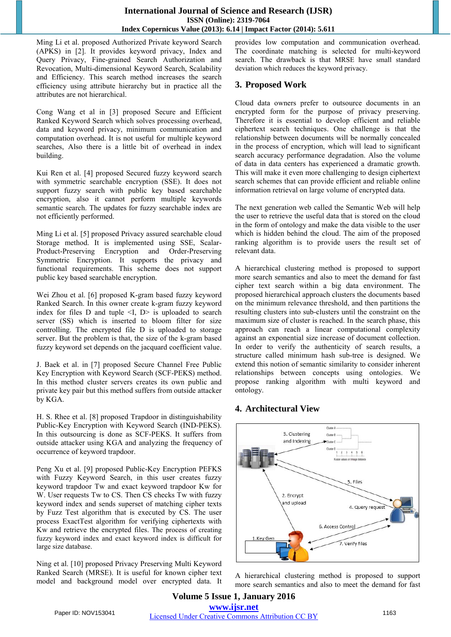## **International Journal of Science and Research (IJSR) ISSN (Online): 2319-7064 Index Copernicus Value (2013): 6.14 | Impact Factor (2014): 5.611**

Ming Li et al. proposed Authorized Private keyword Search (APKS) in [2]. It provides keyword privacy, Index and Query Privacy, Fine-grained Search Authorization and Revocation, Multi-dimensional Keyword Search, Scalability and Efficiency. This search method increases the search efficiency using attribute hierarchy but in practice all the attributes are not hierarchical.

Cong Wang et al in [3] proposed Secure and Efficient Ranked Keyword Search which solves processing overhead, data and keyword privacy, minimum communication and computation overhead. It is not useful for multiple keyword searches, Also there is a little bit of overhead in index building.

Kui Ren et al. [4] proposed Secured fuzzy keyword search with symmetric searchable encryption (SSE). It does not support fuzzy search with public key based searchable encryption, also it cannot perform multiple keywords semantic search. The updates for fuzzy searchable index are not efficiently performed.

Ming Li et al. [5] proposed Privacy assured searchable cloud Storage method. It is implemented using SSE, Scalar-Product-Preserving Encryption and Order-Preserving Symmetric Encryption. It supports the privacy and functional requirements. This scheme does not support public key based searchable encryption.

Wei Zhou et al. [6] proposed K-gram based fuzzy keyword Ranked Search. In this owner create k-gram fuzzy keyword index for files  $D$  and tuple  $\leq I$ ,  $D$  is uploaded to search server (SS) which is inserted to bloom filter for size controlling. The encrypted file D is uploaded to storage server. But the problem is that, the size of the k-gram based fuzzy keyword set depends on the jacquard coefficient value.

J. Baek et al. in [7] proposed Secure Channel Free Public Key Encryption with Keyword Search (SCF-PEKS) method. In this method cluster servers creates its own public and private key pair but this method suffers from outside attacker by KGA.

H. S. Rhee et al. [8] proposed Trapdoor in distinguishability Public-Key Encryption with Keyword Search (IND-PEKS). In this outsourcing is done as SCF-PEKS. It suffers from outside attacker using KGA and analyzing the frequency of occurrence of keyword trapdoor.

Peng Xu et al. [9] proposed Public-Key Encryption PEFKS with Fuzzy Keyword Search, in this user creates fuzzy keyword trapdoor Tw and exact keyword trapdoor Kw for W. User requests Tw to CS. Then CS checks Tw with fuzzy keyword index and sends superset of matching cipher texts by Fuzz Test algorithm that is executed by CS. The user process ExactTest algorithm for verifying ciphertexts with Kw and retrieve the encrypted files. The process of creating fuzzy keyword index and exact keyword index is difficult for large size database.

Ning et al. [10] proposed Privacy Preserving Multi Keyword Ranked Search (MRSE). It is useful for known cipher text model and background model over encrypted data. It provides low computation and communication overhead. The coordinate matching is selected for multi-keyword search. The drawback is that MRSE have small standard deviation which reduces the keyword privacy.

## **3. Proposed Work**

Cloud data owners prefer to outsource documents in an encrypted form for the purpose of privacy preserving. Therefore it is essential to develop efficient and reliable ciphertext search techniques. One challenge is that the relationship between documents will be normally concealed in the process of encryption, which will lead to significant search accuracy performance degradation. Also the volume of data in data centers has experienced a dramatic growth. This will make it even more challenging to design ciphertext search schemes that can provide efficient and reliable online information retrieval on large volume of encrypted data.

The next generation web called the Semantic Web will help the user to retrieve the useful data that is stored on the cloud in the form of ontology and make the data visible to the user which is hidden behind the cloud. The aim of the proposed ranking algorithm is to provide users the result set of relevant data.

A hierarchical clustering method is proposed to support more search semantics and also to meet the demand for fast cipher text search within a big data environment. The proposed hierarchical approach clusters the documents based on the minimum relevance threshold, and then partitions the resulting clusters into sub-clusters until the constraint on the maximum size of cluster is reached. In the search phase, this approach can reach a linear computational complexity against an exponential size increase of document collection. In order to verify the authenticity of search results, a structure called minimum hash sub-tree is designed. We extend this notion of semantic similarity to consider inherent relationships between concepts using ontologies. We propose ranking algorithm with multi keyword and ontology.

## **4. Architectural View**



A hierarchical clustering method is proposed to support more search semantics and also to meet the demand for fast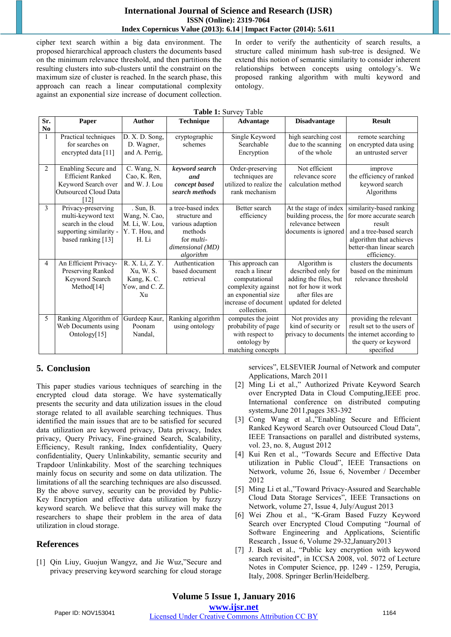#### **International Journal of Science and Research (IJSR) ISSN (Online): 2319-7064 Index Copernicus Value (2013): 6.14 | Impact Factor (2014): 5.611**

cipher text search within a big data environment. The proposed hierarchical approach clusters the documents based on the minimum relevance threshold, and then partitions the resulting clusters into sub-clusters until the constraint on the maximum size of cluster is reached. In the search phase, this approach can reach a linear computational complexity against an exponential size increase of document collection. In order to verify the authenticity of search results, a structure called minimum hash sub-tree is designed. We extend this notion of semantic similarity to consider inherent relationships between concepts using ontology's. We proposed ranking algorithm with multi keyword and ontology.

| Sr.            | Paper                                                                                                            | <b>Author</b>                                                           | <b>Technique</b>                                                                                                          | $10010$ $100010$<br><b>Advantage</b>                                                                                                     | <b>Disadvantage</b>                                                                                                          | <b>Result</b>                                                                                                                                                    |
|----------------|------------------------------------------------------------------------------------------------------------------|-------------------------------------------------------------------------|---------------------------------------------------------------------------------------------------------------------------|------------------------------------------------------------------------------------------------------------------------------------------|------------------------------------------------------------------------------------------------------------------------------|------------------------------------------------------------------------------------------------------------------------------------------------------------------|
| No.            |                                                                                                                  |                                                                         |                                                                                                                           |                                                                                                                                          |                                                                                                                              |                                                                                                                                                                  |
|                | Practical techniques<br>for searches on<br>encrypted data [11]                                                   | D. X. D. Song,<br>D. Wagner,<br>and A. Perrig,                          | cryptographic<br>schemes                                                                                                  | Single Keyword<br>Searchable<br>Encryption                                                                                               | high searching cost<br>due to the scanning<br>of the whole                                                                   | remote searching<br>on encrypted data using<br>an untrusted server                                                                                               |
| $\overline{2}$ | Enabling Secure and<br><b>Efficient Ranked</b><br>Keyword Search over<br><b>Outsourced Cloud Data</b><br>[12]    | C. Wang, N.<br>Cao, K. Ren,<br>and W. J. Lou                            | keyword search<br>and<br>concept based<br>search methods                                                                  | Order-preserving<br>techniques are<br>utilized to realize the<br>rank mechanism                                                          | Not efficient<br>relevance score<br>calculation method                                                                       | improve<br>the efficiency of ranked<br>keyword search<br>Algorithms                                                                                              |
| 3              | Privacy-preserving<br>multi-keyword text<br>search in the cloud<br>supporting similarity -<br>based ranking [13] | . Sun, B.<br>Wang, N. Cao,<br>M. Li, W. Lou,<br>Y. T. Hou, and<br>H. Li | a tree-based index<br>structure and<br>various adaption<br>methods<br>for <i>multi</i> -<br>dimensional (MD)<br>algorithm | Better search<br>efficiency                                                                                                              | At the stage of index<br>building process, the<br>relevance between<br>documents is ignored                                  | similarity-based ranking<br>for more accurate search<br>result<br>and a tree-based search<br>algorithm that achieves<br>better-than linear search<br>efficiency. |
| 4              | An Efficient Privacy-<br>Preserving Ranked<br>Keyword Search<br>Method <sup>[14]</sup>                           | R. X. Li, Z. Y.<br>Xu, W. S.<br>Kang, K. C.<br>Yow, and C. Z.<br>Xu     | Authentication<br>based document<br>retrieval                                                                             | This approach can<br>reach a linear<br>computational<br>complexity against<br>an exponential size<br>increase of document<br>collection. | Algorithm is<br>described only for<br>adding the files, but<br>not for how it work<br>after files are<br>updated for deleted | clusters the documents<br>based on the minimum<br>relevance threshold                                                                                            |
| 5              | Ranking Algorithm of<br>Web Documents using<br>Ontology[15]                                                      | Gurdeep Kaur,<br>Poonam<br>Nandal,                                      | Ranking algorithm<br>using ontology                                                                                       | computes the joint<br>probability of page<br>with respect to<br>ontology by<br>matching concepts                                         | Not provides any<br>kind of security or<br>privacy to documents                                                              | providing the relevant<br>result set to the users of<br>the internet according to<br>the query or keyword<br>specified                                           |

### **Table 1:** Survey Table

## **5. Conclusion**

This paper studies various techniques of searching in the encrypted cloud data storage. We have systematically presents the security and data utilization issues in the cloud storage related to all available searching techniques. Thus identified the main issues that are to be satisfied for secured data utilization are keyword privacy, Data privacy, Index privacy, Query Privacy, Fine-grained Search, Scalability, Efficiency, Result ranking, Index confidentiality, Query confidentiality, Query Unlinkability, semantic security and Trapdoor Unlinkability. Most of the searching techniques mainly focus on security and some on data utilization. The limitations of all the searching techniques are also discussed. By the above survey, security can be provided by Public-Key Encryption and effective data utilization by fuzzy keyword search. We believe that this survey will make the researchers to shape their problem in the area of data utilization in cloud storage.

## **References**

[1] Qin Liuy, Guojun Wangyz, and Jie Wuz,"Secure and privacy preserving keyword searching for cloud storage services", ELSEVIER Journal of Network and computer Applications, March 2011

- [2] Ming Li et al.," Authorized Private Keyword Search over Encrypted Data in Cloud Computing,IEEE proc. International conference on distributed computing systems,June 2011,pages 383-392
- [3] Cong Wang et al.,"Enabling Secure and Efficient Ranked Keyword Search over Outsourced Cloud Data", IEEE Transactions on parallel and distributed systems, vol. 23, no. 8, August 2012
- [4] Kui Ren et al., "Towards Secure and Effective Data utilization in Public Cloud", IEEE Transactions on Network, volume 26, Issue 6, November / December 2012
- [5] Ming Li et al.,"Toward Privacy-Assured and Searchable Cloud Data Storage Services", IEEE Transactions on Network, volume 27, Issue 4, July/August 2013
- [6] Wei Zhou et al., "K-Gram Based Fuzzy Keyword Search over Encrypted Cloud Computing "Journal of Software Engineering and Applications, Scientific Research , Issue 6, Volume 29-32,January2013
- [7] J. Baek et al., "Public key encryption with keyword search revisited", in ICCSA 2008, vol. 5072 of Lecture Notes in Computer Science, pp. 1249 - 1259, Perugia, Italy, 2008. Springer Berlin/Heidelberg.